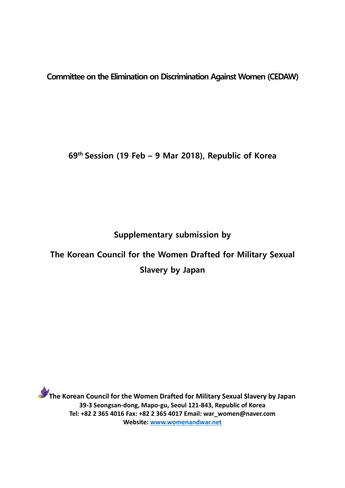**Committee on the Elimination on Discrimination Against Women (CEDAW)**

**69th Session (19 Feb – 9 Mar 2018), Republic of Korea**

**Supplementary submission by**

# **The Korean Council for the Women Drafted for Military Sexual Slavery by Japan**

**The Korean Council for the Women Drafted for Military Sexual Slavery by Japan 39-3 Seongsan-dong, Mapo-gu, Seoul 121-843, Republic of Korea Tel: +82 2 365 4016 Fax: +82 2 365 4017 Email: war\_women@naver.com Website: [www.womenandwar.net](http://www.womenandwar.net/)**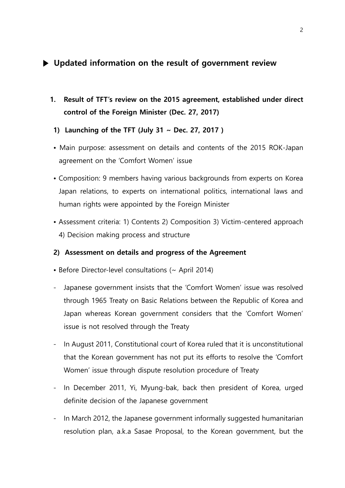## **▶ Updated information on the result of government review**

- **1. Result of TFT's review on the 2015 agreement, established under direct control of the Foreign Minister (Dec. 27, 2017)**
- **1) Launching of the TFT (July 31 ~ Dec. 27, 2017 )**
- Main purpose: assessment on details and contents of the 2015 ROK-Japan agreement on the 'Comfort Women' issue
- Composition: 9 members having various backgrounds from experts on Korea Japan relations, to experts on international politics, international laws and human rights were appointed by the Foreign Minister
- Assessment criteria: 1) Contents 2) Composition 3) Victim-centered approach 4) Decision making process and structure

#### **2) Assessment on details and progress of the Agreement**

- Before Director-level consultations (~ April 2014)
- Japanese government insists that the 'Comfort Women' issue was resolved through 1965 Treaty on Basic Relations between the Republic of Korea and Japan whereas Korean government considers that the 'Comfort Women' issue is not resolved through the Treaty
- In August 2011, Constitutional court of Korea ruled that it is unconstitutional that the Korean government has not put its efforts to resolve the 'Comfort Women' issue through dispute resolution procedure of Treaty
- In December 2011, Yi, Myung-bak, back then president of Korea, urged definite decision of the Japanese government
- In March 2012, the Japanese government informally suggested humanitarian resolution plan, a.k.a Sasae Proposal, to the Korean government, but the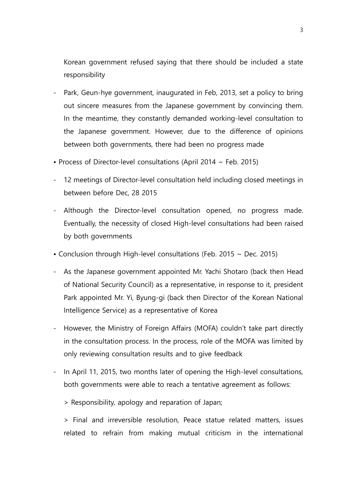Korean government refused saying that there should be included a state responsibility

- Park, Geun-hye government, inaugurated in Feb, 2013, set a policy to bring out sincere measures from the Japanese government by convincing them. In the meantime, they constantly demanded working-level consultation to the Japanese government. However, due to the difference of opinions between both governments, there had been no progress made
- Process of Director-level consultations (April 2014  $\sim$  Feb. 2015)
- 12 meetings of Director-level consultation held including closed meetings in between before Dec, 28 2015
- Although the Director-level consultation opened, no progress made. Eventually, the necessity of closed High-level consultations had been raised by both governments
- Conclusion through High-level consultations (Feb. 2015 ~ Dec. 2015)
- As the Japanese government appointed Mr. Yachi Shotaro (back then Head of National Security Council) as a representative, in response to it, president Park appointed Mr. Yi, Byung-gi (back then Director of the Korean National Intelligence Service) as a representative of Korea
- However, the Ministry of Foreign Affairs (MOFA) couldn't take part directly in the consultation process. In the process, role of the MOFA was limited by only reviewing consultation results and to give feedback
- In April 11, 2015, two months later of opening the High-level consultations, both governments were able to reach a tentative agreement as follows:
	- > Responsibility, apology and reparation of Japan;

> Final and irreversible resolution, Peace statue related matters, issues related to refrain from making mutual criticism in the international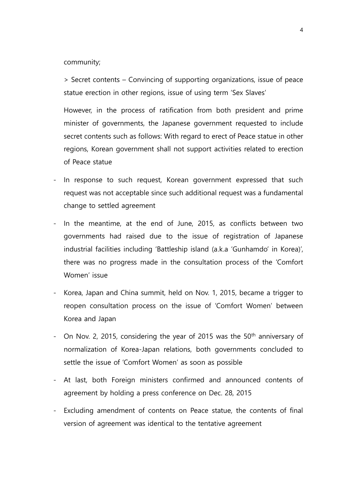community;

> Secret contents – Convincing of supporting organizations, issue of peace statue erection in other regions, issue of using term 'Sex Slaves'

However, in the process of ratification from both president and prime minister of governments, the Japanese government requested to include secret contents such as follows: With regard to erect of Peace statue in other regions, Korean government shall not support activities related to erection of Peace statue

- In response to such request, Korean government expressed that such request was not acceptable since such additional request was a fundamental change to settled agreement
- In the meantime, at the end of June, 2015, as conflicts between two governments had raised due to the issue of registration of Japanese industrial facilities including 'Battleship island (a.k.a 'Gunhamdo' in Korea)', there was no progress made in the consultation process of the 'Comfort Women' issue
- Korea, Japan and China summit, held on Nov. 1, 2015, became a trigger to reopen consultation process on the issue of 'Comfort Women' between Korea and Japan
- On Nov. 2, 2015, considering the year of 2015 was the 50<sup>th</sup> anniversary of normalization of Korea-Japan relations, both governments concluded to settle the issue of 'Comfort Women' as soon as possible
- At last, both Foreign ministers confirmed and announced contents of agreement by holding a press conference on Dec. 28, 2015
- Excluding amendment of contents on Peace statue, the contents of final version of agreement was identical to the tentative agreement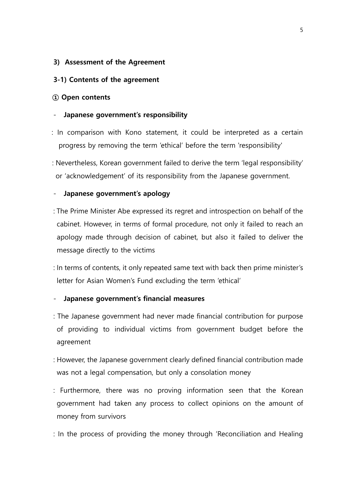#### **3) Assessment of the Agreement**

#### **3-1) Contents of the agreement**

#### **① Open contents**

#### - **Japanese government's responsibility**

- : In comparison with Kono statement, it could be interpreted as a certain progress by removing the term 'ethical' before the term 'responsibility'
- : Nevertheless, Korean government failed to derive the term 'legal responsibility' or 'acknowledgement' of its responsibility from the Japanese government.

#### - **Japanese government's apology**

- : The Prime Minister Abe expressed its regret and introspection on behalf of the cabinet. However, in terms of formal procedure, not only it failed to reach an apology made through decision of cabinet, but also it failed to deliver the message directly to the victims
- : In terms of contents, it only repeated same text with back then prime minister's letter for Asian Women's Fund excluding the term 'ethical'

#### - **Japanese government's financial measures**

- : The Japanese government had never made financial contribution for purpose of providing to individual victims from government budget before the agreement
- : However, the Japanese government clearly defined financial contribution made was not a legal compensation, but only a consolation money
- : Furthermore, there was no proving information seen that the Korean government had taken any process to collect opinions on the amount of money from survivors
- : In the process of providing the money through 'Reconciliation and Healing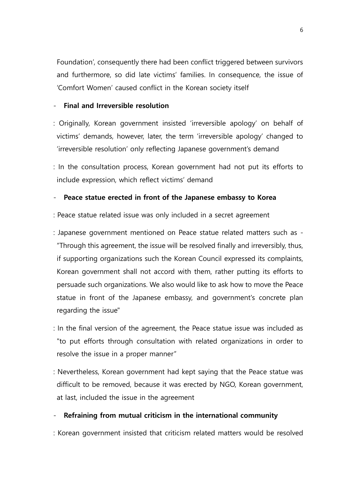Foundation', consequently there had been conflict triggered between survivors and furthermore, so did late victims' families. In consequence, the issue of 'Comfort Women' caused conflict in the Korean society itself

### - **Final and Irreversible resolution**

- : Originally, Korean government insisted 'irreversible apology' on behalf of victims' demands, however, later, the term 'irreversible apology' changed to 'irreversible resolution' only reflecting Japanese government's demand
- : In the consultation process, Korean government had not put its efforts to include expression, which reflect victims' demand

#### - **Peace statue erected in front of the Japanese embassy to Korea**

- : Peace statue related issue was only included in a secret agreement
- : Japanese government mentioned on Peace statue related matters such as "Through this agreement, the issue will be resolved finally and irreversibly, thus, if supporting organizations such the Korean Council expressed its complaints, Korean government shall not accord with them, rather putting its efforts to persuade such organizations. We also would like to ask how to move the Peace statue in front of the Japanese embassy, and government's concrete plan regarding the issue"
- : In the final version of the agreement, the Peace statue issue was included as "to put efforts through consultation with related organizations in order to resolve the issue in a proper manner"
- : Nevertheless, Korean government had kept saying that the Peace statue was difficult to be removed, because it was erected by NGO, Korean government, at last, included the issue in the agreement

#### - **Refraining from mutual criticism in the international community**

: Korean government insisted that criticism related matters would be resolved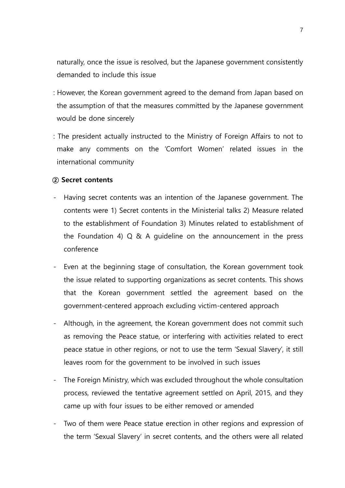naturally, once the issue is resolved, but the Japanese government consistently demanded to include this issue

- : However, the Korean government agreed to the demand from Japan based on the assumption of that the measures committed by the Japanese government would be done sincerely
- : The president actually instructed to the Ministry of Foreign Affairs to not to make any comments on the 'Comfort Women' related issues in the international community

#### **② Secret contents**

- Having secret contents was an intention of the Japanese government. The contents were 1) Secret contents in the Ministerial talks 2) Measure related to the establishment of Foundation 3) Minutes related to establishment of the Foundation 4) Q & A guideline on the announcement in the press conference
- Even at the beginning stage of consultation, the Korean government took the issue related to supporting organizations as secret contents. This shows that the Korean government settled the agreement based on the government-centered approach excluding victim-centered approach
- Although, in the agreement, the Korean government does not commit such as removing the Peace statue, or interfering with activities related to erect peace statue in other regions, or not to use the term 'Sexual Slavery', it still leaves room for the government to be involved in such issues
- The Foreign Ministry, which was excluded throughout the whole consultation process, reviewed the tentative agreement settled on April, 2015, and they came up with four issues to be either removed or amended
- Two of them were Peace statue erection in other regions and expression of the term 'Sexual Slavery' in secret contents, and the others were all related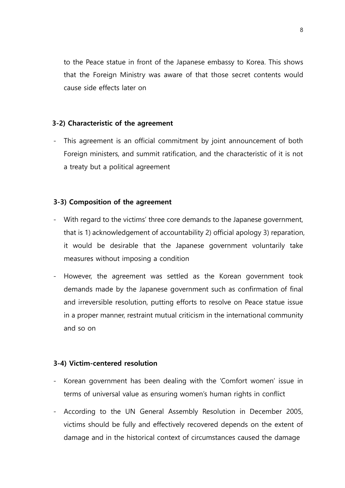to the Peace statue in front of the Japanese embassy to Korea. This shows that the Foreign Ministry was aware of that those secret contents would cause side effects later on

#### **3-2) Characteristic of the agreement**

- This agreement is an official commitment by joint announcement of both Foreign ministers, and summit ratification, and the characteristic of it is not a treaty but a political agreement

#### **3-3) Composition of the agreement**

- With regard to the victims' three core demands to the Japanese government, that is 1) acknowledgement of accountability 2) official apology 3) reparation, it would be desirable that the Japanese government voluntarily take measures without imposing a condition
- However, the agreement was settled as the Korean government took demands made by the Japanese government such as confirmation of final and irreversible resolution, putting efforts to resolve on Peace statue issue in a proper manner, restraint mutual criticism in the international community and so on

#### **3-4) Victim-centered resolution**

- Korean government has been dealing with the 'Comfort women' issue in terms of universal value as ensuring women's human rights in conflict
- According to the UN General Assembly Resolution in December 2005, victims should be fully and effectively recovered depends on the extent of damage and in the historical context of circumstances caused the damage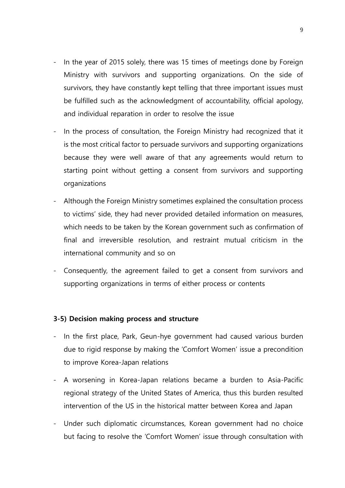- In the year of 2015 solely, there was 15 times of meetings done by Foreign Ministry with survivors and supporting organizations. On the side of survivors, they have constantly kept telling that three important issues must be fulfilled such as the acknowledgment of accountability, official apology, and individual reparation in order to resolve the issue
- In the process of consultation, the Foreign Ministry had recognized that it is the most critical factor to persuade survivors and supporting organizations because they were well aware of that any agreements would return to starting point without getting a consent from survivors and supporting organizations
- Although the Foreign Ministry sometimes explained the consultation process to victims' side, they had never provided detailed information on measures, which needs to be taken by the Korean government such as confirmation of final and irreversible resolution, and restraint mutual criticism in the international community and so on
- Consequently, the agreement failed to get a consent from survivors and supporting organizations in terms of either process or contents

#### **3-5) Decision making process and structure**

- In the first place, Park, Geun-hye government had caused various burden due to rigid response by making the 'Comfort Women' issue a precondition to improve Korea-Japan relations
- A worsening in Korea-Japan relations became a burden to Asia-Pacific regional strategy of the United States of America, thus this burden resulted intervention of the US in the historical matter between Korea and Japan
- Under such diplomatic circumstances, Korean government had no choice but facing to resolve the 'Comfort Women' issue through consultation with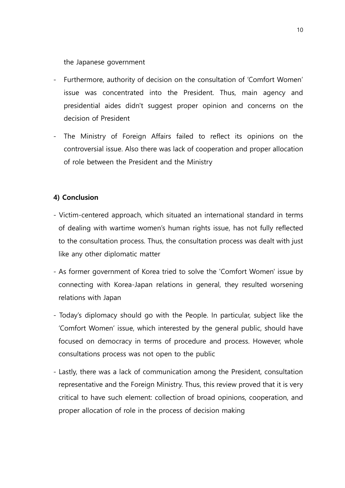the Japanese government

- Furthermore, authority of decision on the consultation of 'Comfort Women' issue was concentrated into the President. Thus, main agency and presidential aides didn't suggest proper opinion and concerns on the decision of President
- The Ministry of Foreign Affairs failed to reflect its opinions on the controversial issue. Also there was lack of cooperation and proper allocation of role between the President and the Ministry

## **4) Conclusion**

- Victim-centered approach, which situated an international standard in terms of dealing with wartime women's human rights issue, has not fully reflected to the consultation process. Thus, the consultation process was dealt with just like any other diplomatic matter
- As former government of Korea tried to solve the 'Comfort Women' issue by connecting with Korea-Japan relations in general, they resulted worsening relations with Japan
- Today's diplomacy should go with the People. In particular, subject like the 'Comfort Women' issue, which interested by the general public, should have focused on democracy in terms of procedure and process. However, whole consultations process was not open to the public
- Lastly, there was a lack of communication among the President, consultation representative and the Foreign Ministry. Thus, this review proved that it is very critical to have such element: collection of broad opinions, cooperation, and proper allocation of role in the process of decision making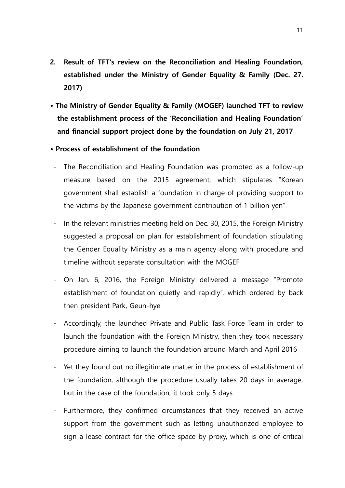- **2. Result of TFT's review on the Reconciliation and Healing Foundation, established under the Ministry of Gender Equality & Family (Dec. 27. 2017)**
- **The Ministry of Gender Equality & Family (MOGEF) launched TFT to review the establishment process of the 'Reconciliation and Healing Foundation' and financial support project done by the foundation on July 21, 2017**
- **Process of establishment of the foundation**
- The Reconciliation and Healing Foundation was promoted as a follow-up measure based on the 2015 agreement, which stipulates "Korean government shall establish a foundation in charge of providing support to the victims by the Japanese government contribution of 1 billion yen"
- In the relevant ministries meeting held on Dec. 30, 2015, the Foreign Ministry suggested a proposal on plan for establishment of foundation stipulating the Gender Equality Ministry as a main agency along with procedure and timeline without separate consultation with the MOGEF
- On Jan. 6, 2016, the Foreign Ministry delivered a message "Promote establishment of foundation quietly and rapidly", which ordered by back then president Park, Geun-hye
- Accordingly, the launched Private and Public Task Force Team in order to launch the foundation with the Foreign Ministry, then they took necessary procedure aiming to launch the foundation around March and April 2016
- Yet they found out no illegitimate matter in the process of establishment of the foundation, although the procedure usually takes 20 days in average, but in the case of the foundation, it took only 5 days
- Furthermore, they confirmed circumstances that they received an active support from the government such as letting unauthorized employee to sign a lease contract for the office space by proxy, which is one of critical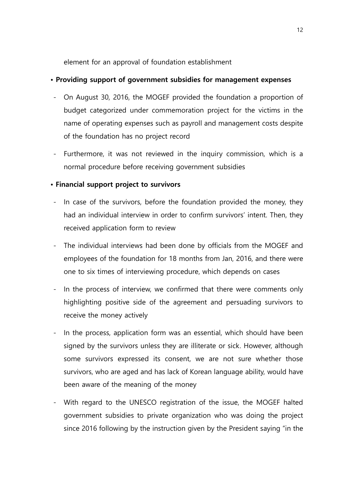element for an approval of foundation establishment

## **• Providing support of government subsidies for management expenses**

- On August 30, 2016, the MOGEF provided the foundation a proportion of budget categorized under commemoration project for the victims in the name of operating expenses such as payroll and management costs despite of the foundation has no project record
- Furthermore, it was not reviewed in the inquiry commission, which is a normal procedure before receiving government subsidies

## **• Financial support project to survivors**

- In case of the survivors, before the foundation provided the money, they had an individual interview in order to confirm survivors' intent. Then, they received application form to review
- The individual interviews had been done by officials from the MOGEF and employees of the foundation for 18 months from Jan, 2016, and there were one to six times of interviewing procedure, which depends on cases
- In the process of interview, we confirmed that there were comments only highlighting positive side of the agreement and persuading survivors to receive the money actively
- In the process, application form was an essential, which should have been signed by the survivors unless they are illiterate or sick. However, although some survivors expressed its consent, we are not sure whether those survivors, who are aged and has lack of Korean language ability, would have been aware of the meaning of the money
- With regard to the UNESCO registration of the issue, the MOGEF halted government subsidies to private organization who was doing the project since 2016 following by the instruction given by the President saying "in the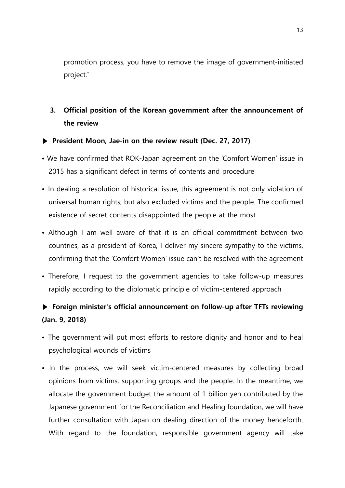promotion process, you have to remove the image of government-initiated project."

# **3. Official position of the Korean government after the announcement of the review**

### **▶ President Moon, Jae-in on the review result (Dec. 27, 2017)**

- We have confirmed that ROK-Japan agreement on the 'Comfort Women' issue in 2015 has a significant defect in terms of contents and procedure
- In dealing a resolution of historical issue, this agreement is not only violation of universal human rights, but also excluded victims and the people. The confirmed existence of secret contents disappointed the people at the most
- Although I am well aware of that it is an official commitment between two countries, as a president of Korea, I deliver my sincere sympathy to the victims, confirming that the 'Comfort Women' issue can't be resolved with the agreement
- Therefore, I request to the government agencies to take follow-up measures rapidly according to the diplomatic principle of victim-centered approach

# **▶ Foreign minister's official announcement on follow-up after TFTs reviewing (Jan. 9, 2018)**

- The government will put most efforts to restore dignity and honor and to heal psychological wounds of victims
- In the process, we will seek victim-centered measures by collecting broad opinions from victims, supporting groups and the people. In the meantime, we allocate the government budget the amount of 1 billion yen contributed by the Japanese government for the Reconciliation and Healing foundation, we will have further consultation with Japan on dealing direction of the money henceforth. With regard to the foundation, responsible government agency will take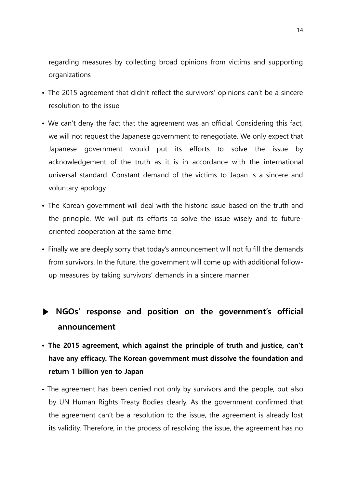regarding measures by collecting broad opinions from victims and supporting organizations

- The 2015 agreement that didn't reflect the survivors' opinions can't be a sincere resolution to the issue
- We can't deny the fact that the agreement was an official. Considering this fact, we will not request the Japanese government to renegotiate. We only expect that Japanese government would put its efforts to solve the issue by acknowledgement of the truth as it is in accordance with the international universal standard. Constant demand of the victims to Japan is a sincere and voluntary apology
- The Korean government will deal with the historic issue based on the truth and the principle. We will put its efforts to solve the issue wisely and to futureoriented cooperation at the same time
- Finally we are deeply sorry that today's announcement will not fulfill the demands from survivors. In the future, the government will come up with additional followup measures by taking survivors' demands in a sincere manner

# **▶ NGOs' response and position on the government's official announcement**

- **The 2015 agreement, which against the principle of truth and justice, can't have any efficacy. The Korean government must dissolve the foundation and return 1 billion yen to Japan**
- **-** The agreement has been denied not only by survivors and the people, but also by UN Human Rights Treaty Bodies clearly. As the government confirmed that the agreement can't be a resolution to the issue, the agreement is already lost its validity. Therefore, in the process of resolving the issue, the agreement has no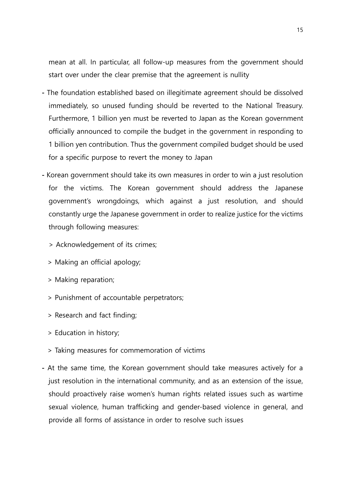mean at all. In particular, all follow-up measures from the government should start over under the clear premise that the agreement is nullity

- **-** The foundation established based on illegitimate agreement should be dissolved immediately, so unused funding should be reverted to the National Treasury. Furthermore, 1 billion yen must be reverted to Japan as the Korean government officially announced to compile the budget in the government in responding to 1 billion yen contribution. Thus the government compiled budget should be used for a specific purpose to revert the money to Japan
- **-** Korean government should take its own measures in order to win a just resolution for the victims. The Korean government should address the Japanese government's wrongdoings, which against a just resolution, and should constantly urge the Japanese government in order to realize justice for the victims through following measures:
	- > Acknowledgement of its crimes;
	- > Making an official apology;
	- > Making reparation;
	- > Punishment of accountable perpetrators;
	- > Research and fact finding;
	- > Education in history;
	- > Taking measures for commemoration of victims
- **-** At the same time, the Korean government should take measures actively for a just resolution in the international community, and as an extension of the issue, should proactively raise women's human rights related issues such as wartime sexual violence, human trafficking and gender-based violence in general, and provide all forms of assistance in order to resolve such issues